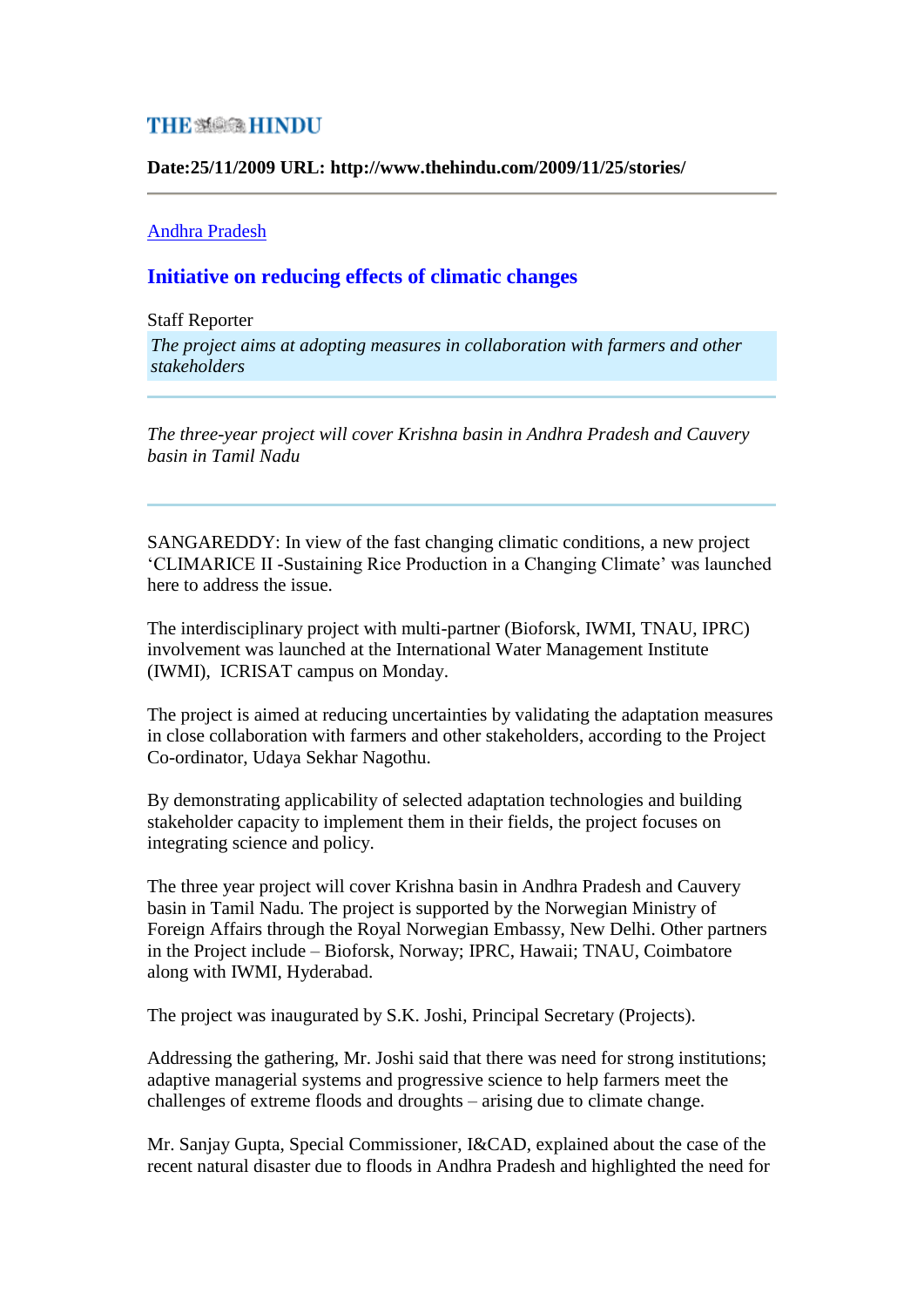## **THE SARGER HINDU**

**Date:25/11/2009 URL: http://www.thehindu.com/2009/11/25/stories/**

## [Andhra Pradesh](http://www.hinduonnet.com/thehindu/21hdline.htm)

## **Initiative on reducing effects of climatic changes**

## Staff Reporter

*The project aims at adopting measures in collaboration with farmers and other stakeholders* 

*The three-year project will cover Krishna basin in Andhra Pradesh and Cauvery basin in Tamil Nadu*

SANGAREDDY: In view of the fast changing climatic conditions, a new project 'CLIMARICE II -Sustaining Rice Production in a Changing Climate' was launched here to address the issue.

The interdisciplinary project with multi-partner (Bioforsk, IWMI, TNAU, IPRC) involvement was launched at the International Water Management Institute (IWMI), ICRISAT campus on Monday.

The project is aimed at reducing uncertainties by validating the adaptation measures in close collaboration with farmers and other stakeholders, according to the Project Co-ordinator, Udaya Sekhar Nagothu.

By demonstrating applicability of selected adaptation technologies and building stakeholder capacity to implement them in their fields, the project focuses on integrating science and policy.

The three year project will cover Krishna basin in Andhra Pradesh and Cauvery basin in Tamil Nadu. The project is supported by the Norwegian Ministry of Foreign Affairs through the Royal Norwegian Embassy, New Delhi. Other partners in the Project include – Bioforsk, Norway; IPRC, Hawaii; TNAU, Coimbatore along with IWMI, Hyderabad.

The project was inaugurated by S.K. Joshi, Principal Secretary (Projects).

Addressing the gathering, Mr. Joshi said that there was need for strong institutions; adaptive managerial systems and progressive science to help farmers meet the challenges of extreme floods and droughts – arising due to climate change.

Mr. Sanjay Gupta, Special Commissioner, I&CAD, explained about the case of the recent natural disaster due to floods in Andhra Pradesh and highlighted the need for